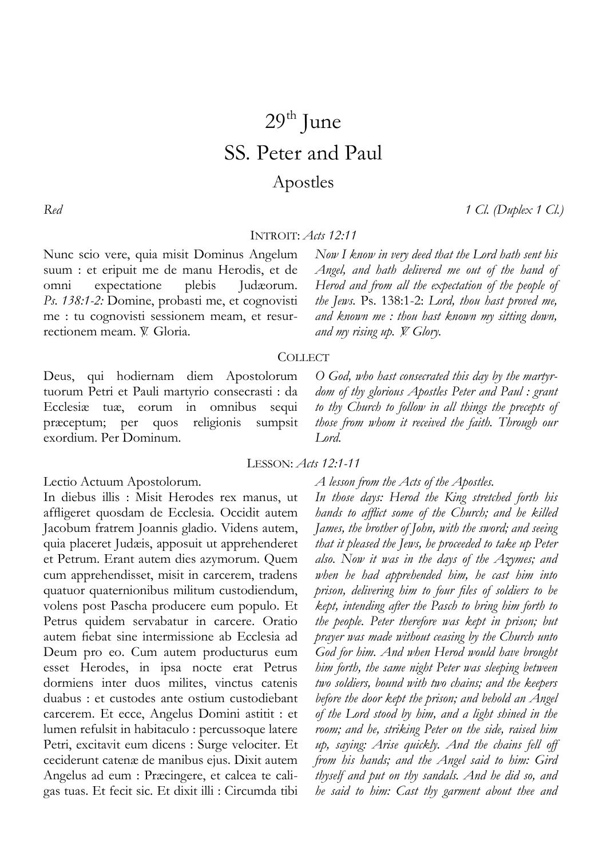# $29<sup>th</sup>$  June SS. Peter and Paul Apostles

*Red 1 Cl. (Duplex 1 Cl.)*

## INTROIT: *Acts 12:11*

Nunc scio vere, quia misit Dominus Angelum suum : et eripuit me de manu Herodis, et de omni expectatione plebis Judæorum. *Ps. 138:1-2:* Domine, probasti me, et cognovisti me : tu cognovisti sessionem meam, et resurrectionem meam. V. Gloria.

*Now I know in very deed that the Lord hath sent his Angel, and hath delivered me out of the hand of Herod and from all the expectation of the people of the Jews.* Ps. 138:1-2: *Lord, thou hast proved me, and known me : thou hast known my sitting down, and my rising up. V. Glory.* 

*O God, who hast consecrated this day by the martyr-*

## **COLLECT**

Deus, qui hodiernam diem Apostolorum tuorum Petri et Pauli martyrio consecrasti : da Ecclesiæ tuæ, eorum in omnibus sequi præceptum; per quos religionis sumpsit exordium. Per Dominum.

*dom of thy glorious Apostles Peter and Paul : grant to thy Church to follow in all things the precepts of those from whom it received the faith. Through our Lord.* 

LESSON: *Acts 12:1-11*

Lectio Actuum Apostolorum.

In diebus illis : Misit Herodes rex manus, ut affligeret quosdam de Ecclesia. Occidit autem Jacobum fratrem Joannis gladio. Videns autem, quia placeret Judæis, apposuit ut apprehenderet et Petrum. Erant autem dies azymorum. Quem cum apprehendisset, misit in carcerem, tradens quatuor quaternionibus militum custodiendum, volens post Pascha producere eum populo. Et Petrus quidem servabatur in carcere. Oratio autem fiebat sine intermissione ab Ecclesia ad Deum pro eo. Cum autem producturus eum esset Herodes, in ipsa nocte erat Petrus dormiens inter duos milites, vinctus catenis duabus : et custodes ante ostium custodiebant carcerem. Et ecce, Angelus Domini astitit : et lumen refulsit in habitaculo : percussoque latere Petri, excitavit eum dicens : Surge velociter. Et ceciderunt catenæ de manibus ejus. Dixit autem Angelus ad eum : Præcingere, et calcea te caligas tuas. Et fecit sic. Et dixit illi : Circumda tibi *A lesson from the Acts of the Apostles.* 

*In those days: Herod the King stretched forth his hands to afflict some of the Church; and he killed James, the brother of John, with the sword; and seeing that it pleased the Jews, he proceeded to take up Peter also. Now it was in the days of the Azymes; and when he had apprehended him, he cast him into prison, delivering him to four files of soldiers to be kept, intending after the Pasch to bring him forth to the people. Peter therefore was kept in prison; but prayer was made without ceasing by the Church unto God for him. And when Herod would have brought him forth, the same night Peter was sleeping between two soldiers, bound with two chains; and the keepers before the door kept the prison; and behold an Angel of the Lord stood by him, and a light shined in the room; and he, striking Peter on the side, raised him up, saying: Arise quickly. And the chains fell off from his hands; and the Angel said to him: Gird thyself and put on thy sandals. And he did so, and he said to him: Cast thy garment about thee and*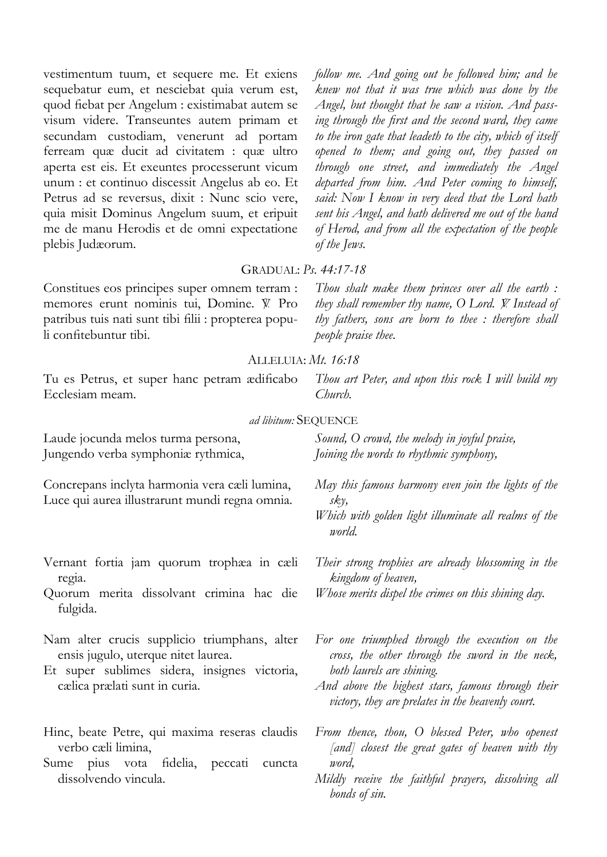vestimentum tuum, et sequere me. Et exiens sequebatur eum, et nesciebat quia verum est, quod fiebat per Angelum : existimabat autem se visum videre. Transeuntes autem primam et secundam custodiam, venerunt ad portam ferream quæ ducit ad civitatem : quæ ultro aperta est eis. Et exeuntes processerunt vicum unum : et continuo discessit Angelus ab eo. Et Petrus ad se reversus, dixit : Nunc scio vere, quia misit Dominus Angelum suum, et eripuit me de manu Herodis et de omni expectatione plebis Judæorum.

*follow me. And going out he followed him; and he knew not that it was true which was done by the Angel, but thought that he saw a vision. And passing through the first and the second ward, they came to the iron gate that leadeth to the city, which of itself opened to them; and going out, they passed on through one street, and immediately the Angel departed from him. And Peter coming to himself, said: Now I know in very deed that the Lord hath sent his Angel, and hath delivered me out of the hand of Herod, and from all the expectation of the people of the Jews.* 

## GRADUAL: *Ps. 44:17-18*

Constitues eos principes super omnem terram : memores erunt nominis tui, Domine. V. Pro patribus tuis nati sunt tibi filii : propterea populi confitebuntur tibi.

*Thou shalt make them princes over all the earth : they shall remember thy name, O Lord. V. Instead of thy fathers, sons are born to thee : therefore shall people praise thee.*

#### ALLELUIA: *Mt. 16:18*

Tu es Petrus, et super hanc petram ædificabo Ecclesiam meam.

*Thou art Peter, and upon this rock I will build my Church.* 

#### *ad libitum:* SEQUENCE

Laude jocunda melos turma persona, Jungendo verba symphoniæ rythmica,

Concrepans inclyta harmonia vera cæli lumina, Luce qui aurea illustrarunt mundi regna omnia.

- Vernant fortia jam quorum trophæa in cæli regia.
- Quorum merita dissolvant crimina hac die fulgida.
- Nam alter crucis supplicio triumphans, alter ensis jugulo, uterque nitet laurea.
- Et super sublimes sidera, insignes victoria, cælica prælati sunt in curia.
- Hinc, beate Petre, qui maxima reseras claudis verbo cæli limina,
- Sume pius vota fidelia, peccati cuncta dissolvendo vincula.

*Sound, O crowd, the melody in joyful praise, Joining the words to rhythmic symphony,* 

- *May this famous harmony even join the lights of the sky,*
- *Which with golden light illuminate all realms of the world.*

*Their strong trophies are already blossoming in the kingdom of heaven,* 

*Whose merits dispel the crimes on this shining day.* 

*For one triumphed through the execution on the cross, the other through the sword in the neck, both laurels are shining.* 

- *And above the highest stars, famous through their victory, they are prelates in the heavenly court.*
- *From thence, thou, O blessed Peter, who openest [and] closest the great gates of heaven with thy word,*
- *Mildly receive the faithful prayers, dissolving all bonds of sin.*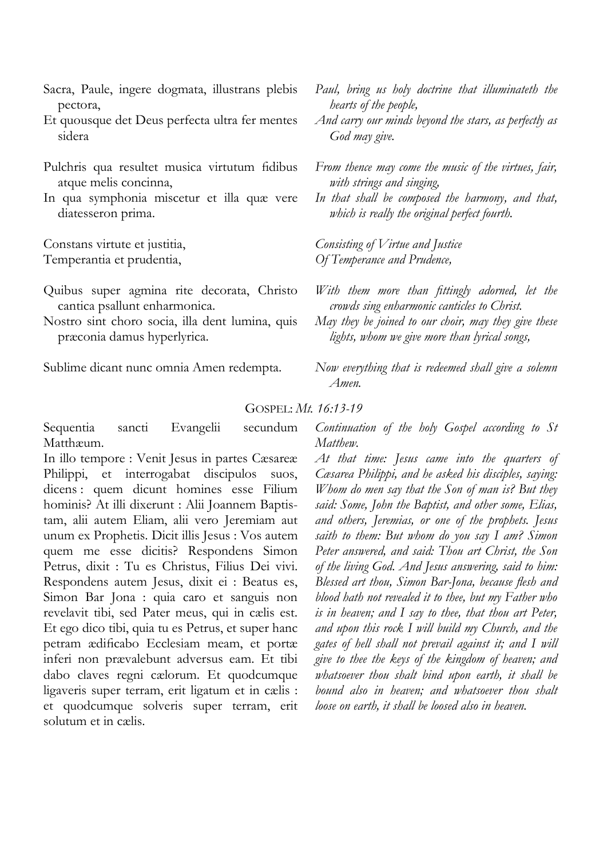- Sacra, Paule, ingere dogmata, illustrans plebis pectora,
- Et quousque det Deus perfecta ultra fer mentes sidera
- Pulchris qua resultet musica virtutum fidibus atque melis concinna,
- In qua symphonia miscetur et illa quæ vere diatesseron prima.

Constans virtute et justitia, Temperantia et prudentia,

- Quibus super agmina rite decorata, Christo cantica psallunt enharmonica.
- Nostro sint choro socia, illa dent lumina, quis præconia damus hyperlyrica.

Sublime dicant nunc omnia Amen redempta.

- *Paul, bring us holy doctrine that illuminateth the hearts of the people,*
- *And carry our minds beyond the stars, as perfectly as God may give.*
- *From thence may come the music of the virtues, fair, with strings and singing,*
- *In that shall be composed the harmony, and that, which is really the original perfect fourth.*

*Consisting of Virtue and Justice Of Temperance and Prudence,* 

- *With them more than fittingly adorned, let the crowds sing enharmonic canticles to Christ.*
- *May they be joined to our choir, may they give these lights, whom we give more than lyrical songs,*
- *Now everything that is redeemed shall give a solemn Amen.*

## GOSPEL: *Mt. 16:13-19*

Sequentia sancti Evangelii secundum Matthæum.

In illo tempore : Venit Jesus in partes Cæsareæ Philippi, et interrogabat discipulos suos, dicens : quem dicunt homines esse Filium hominis? At illi dixerunt : Alii Joannem Baptistam, alii autem Eliam, alii vero Jeremiam aut unum ex Prophetis. Dicit illis Jesus : Vos autem quem me esse dicitis? Respondens Simon Petrus, dixit : Tu es Christus, Filius Dei vivi. Respondens autem Jesus, dixit ei : Beatus es, Simon Bar Jona : quia caro et sanguis non revelavit tibi, sed Pater meus, qui in cælis est. Et ego dico tibi, quia tu es Petrus, et super hanc petram ædificabo Ecclesiam meam, et portæ inferi non prævalebunt adversus eam. Et tibi dabo claves regni cælorum. Et quodcumque ligaveris super terram, erit ligatum et in cælis : et quodcumque solveris super terram, erit solutum et in cælis.

*Continuation of the holy Gospel according to St Matthew.* 

*At that time: Jesus came into the quarters of Cæsarea Philippi, and he asked his disciples, saying: Whom do men say that the Son of man is? But they said: Some, John the Baptist, and other some, Elias, and others, Jeremias, or one of the prophets. Jesus saith to them: But whom do you say I am? Simon Peter answered, and said: Thou art Christ, the Son of the living God. And Jesus answering, said to him: Blessed art thou, Simon Bar-Jona, because flesh and blood hath not revealed it to thee, but my Father who is in heaven; and I say to thee, that thou art Peter, and upon this rock I will build my Church, and the gates of hell shall not prevail against it; and I will give to thee the keys of the kingdom of heaven; and whatsoever thou shalt bind upon earth, it shall be bound also in heaven; and whatsoever thou shalt loose on earth, it shall be loosed also in heaven.*